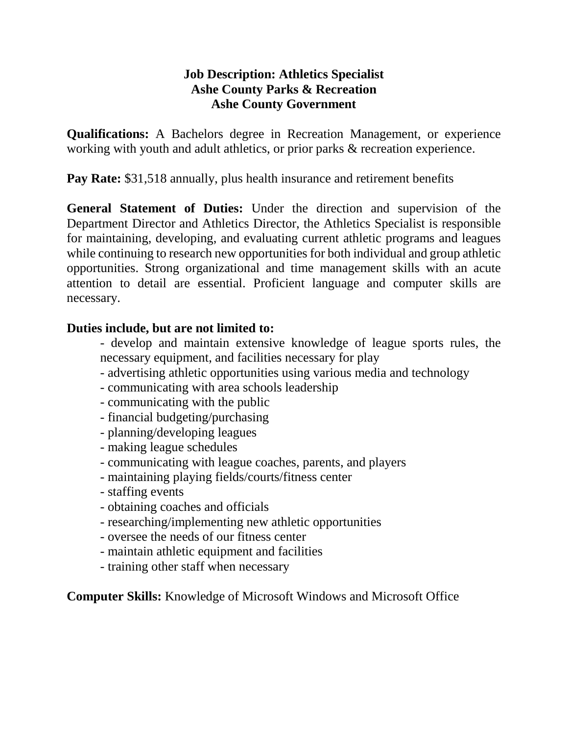## **Job Description: Athletics Specialist Ashe County Parks & Recreation Ashe County Government**

**Qualifications:** A Bachelors degree in Recreation Management, or experience working with youth and adult athletics, or prior parks & recreation experience.

**Pay Rate:** \$31,518 annually, plus health insurance and retirement benefits

**General Statement of Duties:** Under the direction and supervision of the Department Director and Athletics Director, the Athletics Specialist is responsible for maintaining, developing, and evaluating current athletic programs and leagues while continuing to research new opportunities for both individual and group athletic opportunities. Strong organizational and time management skills with an acute attention to detail are essential. Proficient language and computer skills are necessary.

## **Duties include, but are not limited to:**

- develop and maintain extensive knowledge of league sports rules, the necessary equipment, and facilities necessary for play
- advertising athletic opportunities using various media and technology
- communicating with area schools leadership
- communicating with the public
- financial budgeting/purchasing
- planning/developing leagues
- making league schedules
- communicating with league coaches, parents, and players
- maintaining playing fields/courts/fitness center
- staffing events
- obtaining coaches and officials
- researching/implementing new athletic opportunities
- oversee the needs of our fitness center
- maintain athletic equipment and facilities
- training other staff when necessary

**Computer Skills:** Knowledge of Microsoft Windows and Microsoft Office